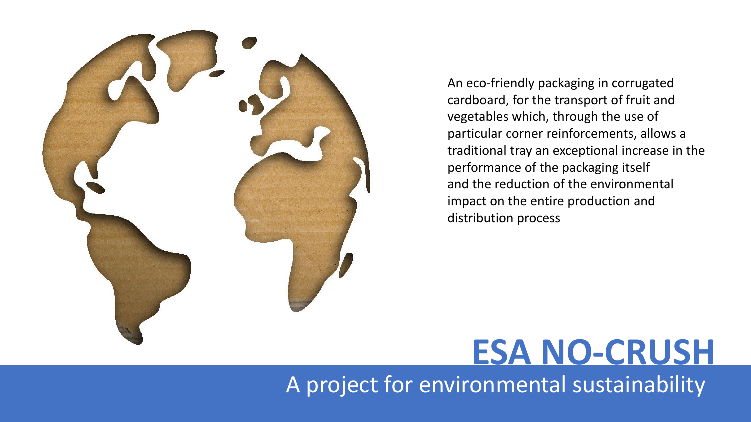

An eco-friendly packaging in corrugated cardboard, for the transport of fruit and vegetables which, through the use of particular corner reinforcements, allows a traditional tray an exceptional increase in the performance of the packaging itself and the reduction of the environmental impact on the entire production and distribution process

### **ESA NO-CRUSH**

A project for environmental sustainability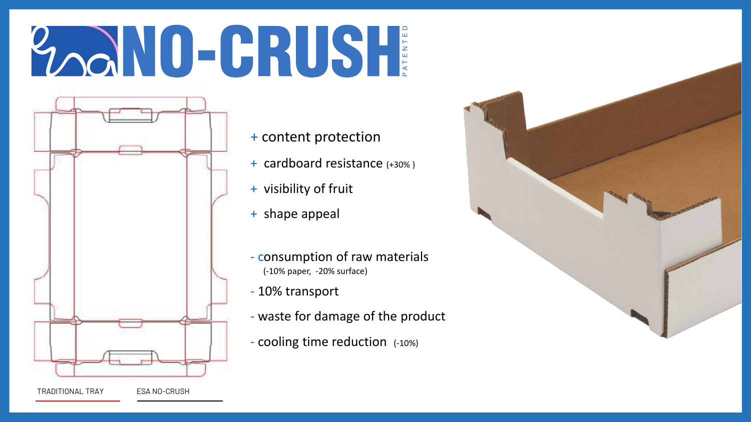# Lool ID-CRUSH



- + content protection
- + cardboard resistance (+30% )
- + visibility of fruit
- + shape appeal
- consumption of raw materials (-10% paper, -20% surface)
- 10% transport
- waste for damage of the product
- cooling time reduction (-10%)

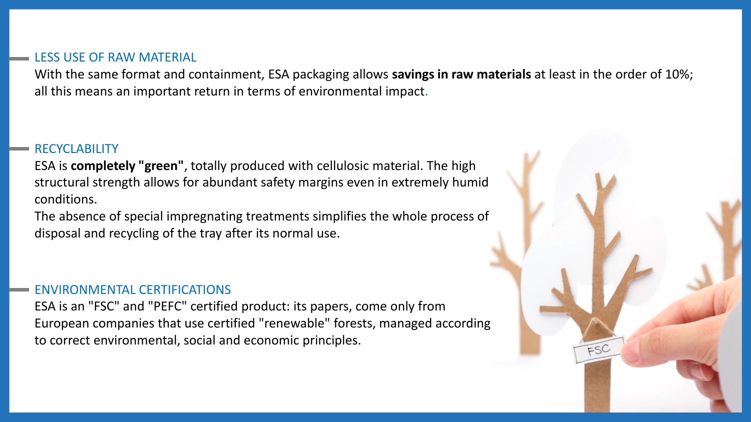#### LESS USE OF RAW MATERIAL

With the same format and containment, ESA packaging allows **savings in raw materials** at least in the order of 10%; all this means an important return in terms of environmental impact.

 $FSC$ 

#### RECYCLABILITY

ESA is **completely "green"**, totally produced with cellulosic material. The high structural strength allows for abundant safety margins even in extremely humid conditions.

The absence of special impregnating treatments simplifies the whole process of disposal and recycling of the tray after its normal use.

#### ENVIRONMENTAL CERTIFICATIONS

ESA is an "FSC" and "PEFC" certified product: its papers, come only from European companies that use certified "renewable" forests, managed according to correct environmental, social and economic principles.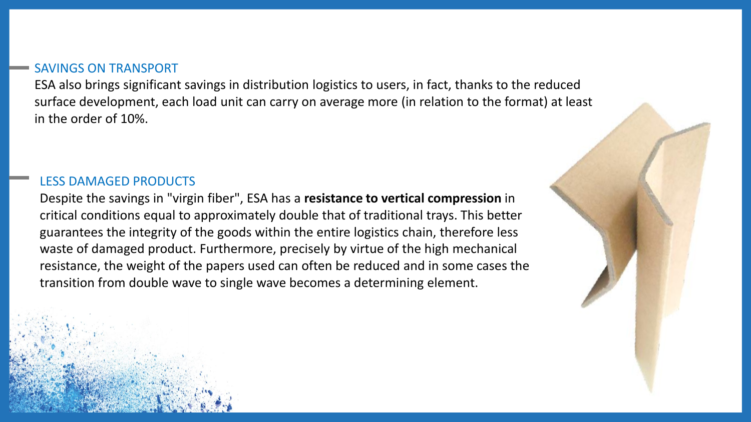#### SAVINGS ON TRANSPORT

ESA also brings significant savings in distribution logistics to users, in fact, thanks to the reduced surface development, each load unit can carry on average more (in relation to the format) at least in the order of 10%.

#### LESS DAMAGED PRODUCTS

Despite the savings in "virgin fiber", ESA has a **resistance to vertical compression** in critical conditions equal to approximately double that of traditional trays. This better guarantees the integrity of the goods within the entire logistics chain, therefore less waste of damaged product. Furthermore, precisely by virtue of the high mechanical resistance, the weight of the papers used can often be reduced and in some cases the transition from double wave to single wave becomes a determining element.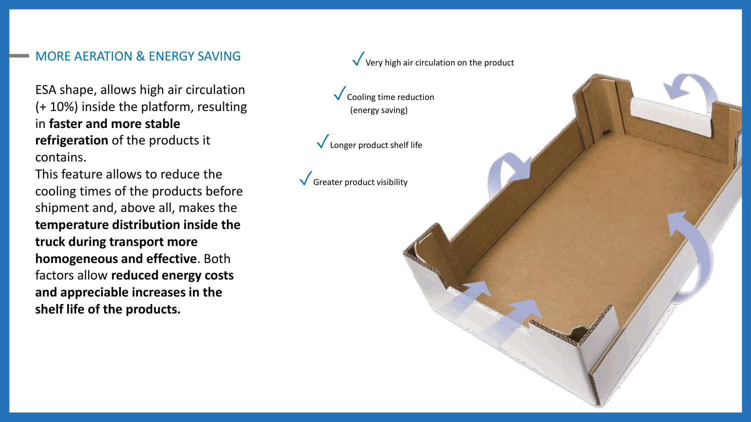#### MORE AERATION & ENERGY SAVING

ESA shape, allows high air circulation (+ 10%) inside the platform, resulting in **faster and more stable refrigeration** of the products it contains.

This feature allows to reduce the cooling times of the products before shipment and, above all, makes the **temperature distribution inside the truck during transport more homogeneous and effective**. Both factors allow **reduced energy costs and appreciable increases in the shelf life of the products.**

## ✓Cooling time reduction (energy saving)  $\sqrt{\ }$  Longer product shelf life  $\sqrt{\frac{G}{G}}$  Greater product visibility

 $\sqrt{\ }$  Very high air circulation on the product